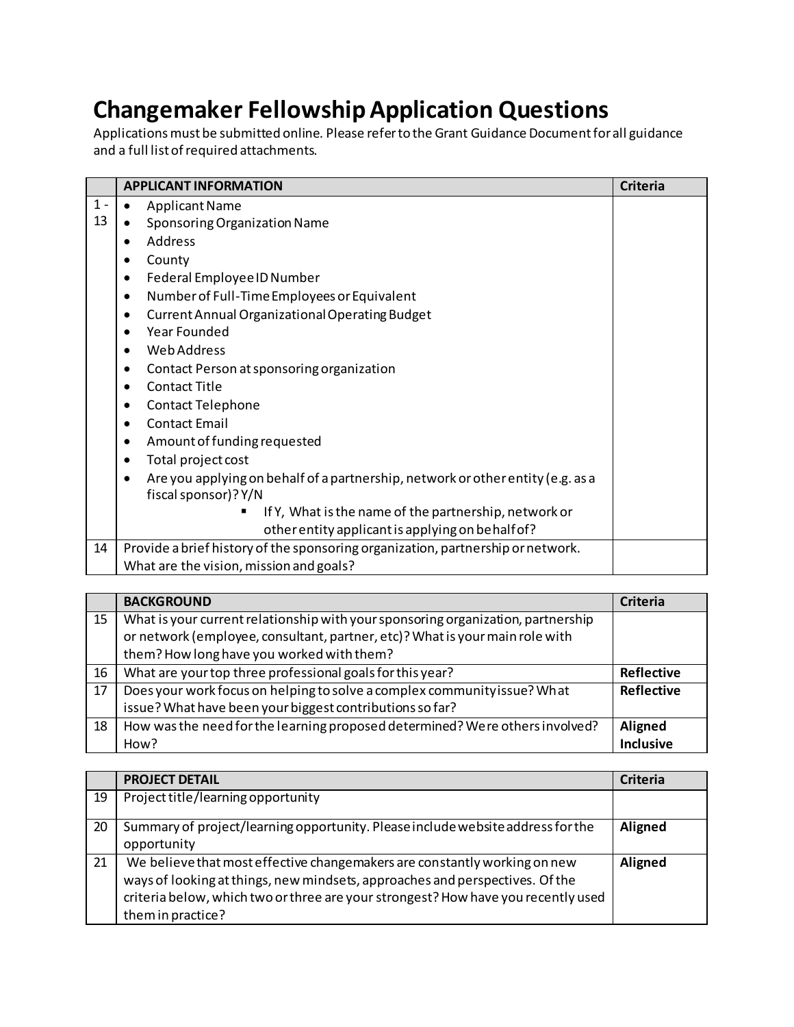## **Changemaker Fellowship Application Questions**

Applications must be submitted online. Please refer to the Grant Guidance Document for all guidance and a full list of required attachments.

|       | <b>APPLICANT INFORMATION</b>                                                                 | <b>Criteria</b> |
|-------|----------------------------------------------------------------------------------------------|-----------------|
| $1 -$ | <b>Applicant Name</b><br>$\bullet$                                                           |                 |
| 13    | Sponsoring Organization Name                                                                 |                 |
|       | Address<br>$\bullet$                                                                         |                 |
|       | County                                                                                       |                 |
|       | Federal Employee ID Number                                                                   |                 |
|       | Number of Full-Time Employees or Equivalent<br>$\bullet$                                     |                 |
|       | <b>Current Annual Organizational Operating Budget</b><br>$\bullet$                           |                 |
|       | <b>Year Founded</b><br>$\bullet$                                                             |                 |
|       | <b>Web Address</b><br>$\bullet$                                                              |                 |
|       | Contact Person at sponsoring organization<br>$\bullet$                                       |                 |
|       | <b>Contact Title</b><br>$\bullet$                                                            |                 |
|       | <b>Contact Telephone</b><br>٠                                                                |                 |
|       | <b>Contact Email</b><br>$\bullet$                                                            |                 |
|       | Amount of funding requested<br>$\bullet$                                                     |                 |
|       | Total project cost<br>$\bullet$                                                              |                 |
|       | Are you applying on behalf of a partnership, network or other entity (e.g. as a<br>$\bullet$ |                 |
|       | fiscal sponsor)? Y/N                                                                         |                 |
|       | If Y, What is the name of the partnership, network or                                        |                 |
|       | other entity applicant is applying on behalf of?                                             |                 |
| 14    | Provide a brief history of the sponsoring organization, partnership or network.              |                 |
|       | What are the vision, mission and goals?                                                      |                 |

|    | <b>BACKGROUND</b>                                                                | Criteria          |
|----|----------------------------------------------------------------------------------|-------------------|
| 15 | What is your current relationship with your sponsoring organization, partnership |                   |
|    | or network (employee, consultant, partner, etc)? What is your main role with     |                   |
|    | them? How long have you worked with them?                                        |                   |
| 16 | What are your top three professional goals for this year?                        | <b>Reflective</b> |
| 17 | Does your work focus on helping to solve a complex community issue? What         | <b>Reflective</b> |
|    | issue? What have been your biggest contributions so far?                         |                   |
| 18 | How was the need for the learning proposed determined? Were others involved?     | Aligned           |
|    | How?                                                                             | Inclusive         |

|    | <b>PROJECT DETAIL</b>                                                                                                                                                                                                                                               | <b>Criteria</b> |
|----|---------------------------------------------------------------------------------------------------------------------------------------------------------------------------------------------------------------------------------------------------------------------|-----------------|
| 19 | Project title/learning opportunity                                                                                                                                                                                                                                  |                 |
| 20 | Summary of project/learning opportunity. Please include website address for the<br>opportunity                                                                                                                                                                      | Aligned         |
| 21 | We believe that most effective changemakers are constantly working on new<br>ways of looking at things, new mindsets, approaches and perspectives. Of the<br>criteria below, which two or three are your strongest? How have you recently used<br>them in practice? | Aligned         |